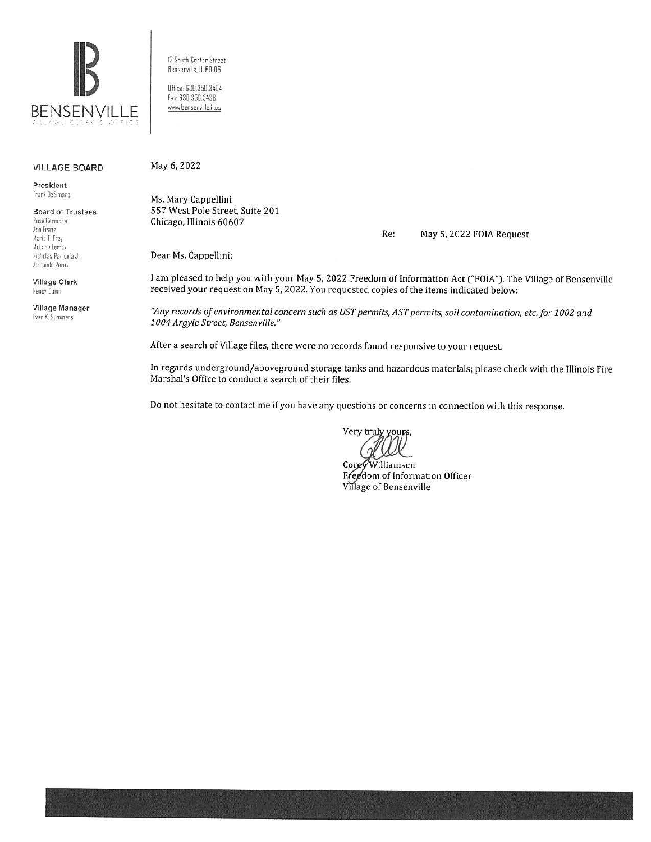

12 South Center Street Bensenville, IL 60106

Office: 630.350.3404 Fax: 630.350.3438 www.bensenville.il.us

#### **VILLAGE BOARD**

President Frank DeSimone

**Board of Trustees** Rosa Carmona Ann Franz Marie T. Frey McLane Lomax Nicholas Panicola Jr. Armando Perez

**Village Clerk** Nancy Duinn

Village Manager Evan K. Summers

May 6, 2022

Ms. Mary Cappellini 557 West Pole Street, Suite 201 Chicago, Illinois 60607

Re: May 5, 2022 FOIA Request

Dear Ms. Cappellini:

I am pleased to help you with your May 5, 2022 Freedom of Information Act ("FOIA"). The Village of Bensenville received your request on May 5, 2022. You requested copies of the items indicated below:

"Any records of environmental concern such as UST permits, AST permits, soil contamination, etc. for 1002 and 1004 Argyle Street, Bensenville."

After a search of Village files, there were no records found responsive to your request.

In regards underground/aboveground storage tanks and hazardous materials; please check with the Illinois Fire Marshal's Office to conduct a search of their files.

Do not hesitate to contact me if you have any questions or concerns in connection with this response.

Very truly yours,

Williamsen Corey Freedom of Information Officer Village of Bensenville